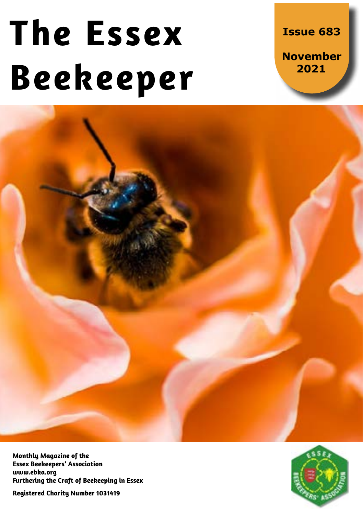# **The Essex Beekeeper**

**Issue 683**

**November 2021**



**Monthly Magazine of the Essex Beekeepers' Association www.ebka.org Furthering the Craft of Beekeeping in Essex**

**Registered Charity Number 1031419**

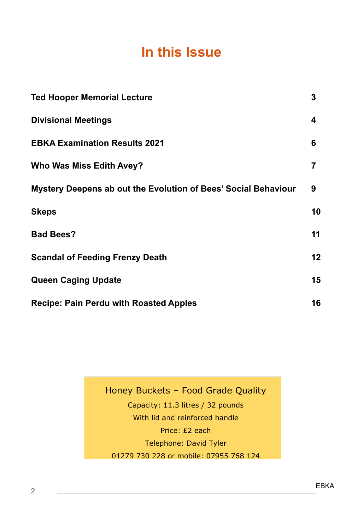## **In this Issue**

| <b>Ted Hooper Memorial Lecture</b>                             | 3  |
|----------------------------------------------------------------|----|
| <b>Divisional Meetings</b>                                     | 4  |
| <b>EBKA Examination Results 2021</b>                           | 6  |
| Who Was Miss Edith Avey?                                       | 7  |
| Mystery Deepens ab out the Evolution of Bees' Social Behaviour | 9  |
| <b>Skeps</b>                                                   | 10 |
| <b>Bad Bees?</b>                                               | 11 |
| <b>Scandal of Feeding Frenzy Death</b>                         | 12 |
| <b>Queen Caging Update</b>                                     | 15 |
| <b>Recipe: Pain Perdu with Roasted Apples</b>                  | 16 |

Honey Buckets – Food Grade Quality Capacity: 11.3 litres / 32 pounds With lid and reinforced handle Price: £2 each Telephone: David Tyler 01279 730 228 or mobile: 07955 768 124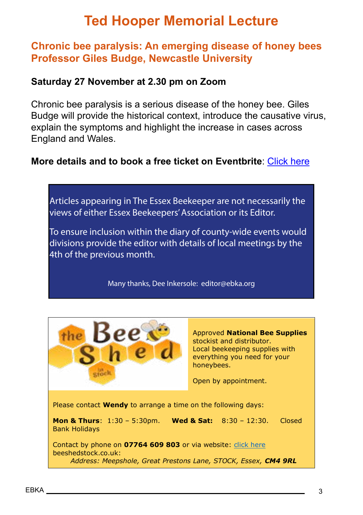# **Ted Hooper Memorial Lecture**

## **Chronic bee paralysis: An emerging disease of honey bees Professor Giles Budge, Newcastle University**

#### **Saturday 27 November at 2.30 pm on Zoom**

Chronic bee paralysis is a serious disease of the honey bee. Giles Budge will provide the historical context, introduce the causative virus, explain the symptoms and highlight the increase in cases across England and Wales.

#### **More details and to book a free ti[c](https://www.eventbrite.co.uk/e/essex-beekeepers-association-the-ted-hooper-memorial-lecture-tickets-173622458447)ket on Eventbrite**: [Click here](https://www.eventbrite.co.uk/e/essex-beekeepers-association-the-ted-hooper-memorial-lecture-tickets-173622458447)



Many thanks, Dee Inkersole: editor@ebka.org



Approved **National Bee Supplies** stockist and distributor. Local beekeeping supplies with everything you need for your honeybees.

Open by appointment.

Please contact **Wendy** to arrange a time on the following days:

Please contact **Wendy** to arrange a time on the following days:

**Mon & Thurs**: 1:30 – 5:30pm. **Wed & Sat:** 8:30 – 12:30. Closed Bank Holidays

Contact by phone on **07764 609 803** or via website: click here beeshedstock.co.uk: *[Address: Meepshole, Great Prestons Lane, STOCK, Essex,](https://www.eventbrite.co.uk/e/essex-beekeepers-association-the-ted-hooper-memorial-lecture-tickets-173622458447) CM4 9RL*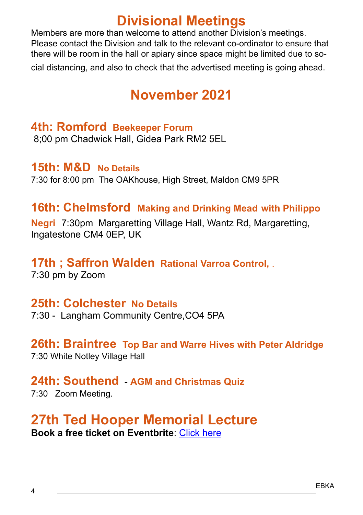## **Divisional Meetings**

Members are more than welcome to attend another Division's meetings. Please contact the Division and talk to the relevant co-ordinator to ensure that there will be room in the hall or apiary since space might be limited due to social distancing, and also to check that the advertised meeting is going ahead.

# **November 2021**

## **4th: Romford Beekeeper Forum**

8;00 pm Chadwick Hall, Gidea Park RM2 5EL

## **15th: M&D No Details**

7:30 for 8:00 pm The OAKhouse, High Street, Maldon CM9 5PR

## **16th: Chelmsford Making and Drinking Mead with Philippo**

**Negri** 7:30pm Margaretting Village Hall, Wantz Rd, Margaretting, Ingatestone CM4 0EP, UK

## **17th ; Saffron Walden Rational Varroa Control,** .

7:30 pm by Zoom

## **25th: Colchester No Details**

7:30 - Langham Community Centre,CO4 5PA

## **26th: Braintree Top Bar and Warre Hives with Peter Aldridge**

7:30 White Notley Village Hall

## **24th: Southend** - **AGM and Christmas Quiz**

7:30 Zoom Meeting.

## **27th Ted Hooper Memorial Lecture Book a free ticket on Eventbrite**: [Click here](https://www.eventbrite.co.uk/e/essex-beekeepers-association-the-ted-hooper-memorial-lecture-tickets-173622458447)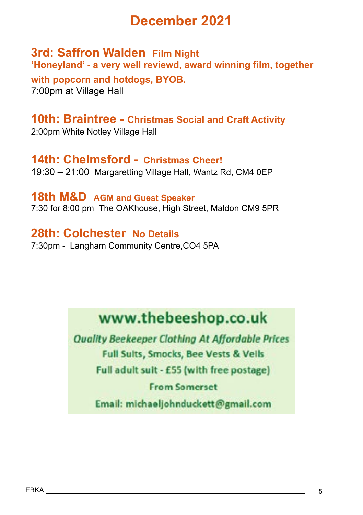## **December 2021**

**3rd: Saffron Walden Film Night 'Honeyland' - a very well reviewd, award winning film, together** 

**with popcorn and hotdogs, BYOB.** 7:00pm at Village Hall

**10th: Braintree - Christmas Social and Craft Activity** 2:00pm White Notley Village Hall

**14th: Chelmsford - Christmas Cheer!** 19:30 – 21:00 Margaretting Village Hall, Wantz Rd, CM4 0EP

**18th M&D AGM and Guest Speaker** 7:30 for 8:00 pm The OAKhouse, High Street, Maldon CM9 5PR

**28th: Colchester No Details** 7:30pm - Langham Community Centre,CO4 5PA

# www.thebeeshop.co.uk

**Quality Beekeeper Clothing At Affordable Prices Full Sults, Smocks, Bee Vests & Vells** Full adult suit - £55 (with free postage) **From Samerset** Email: michaeljohnduckett@gmail.com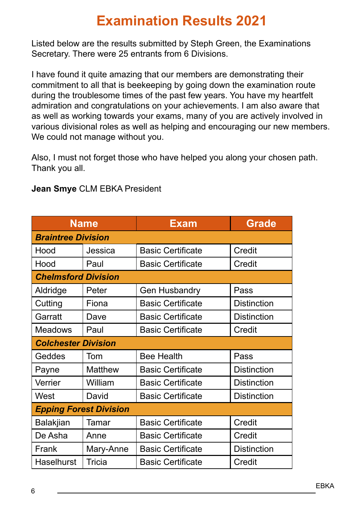# **Examination Results 2021**

Listed below are the results submitted by Steph Green, the Examinations Secretary. There were 25 entrants from 6 Divisions.

I have found it quite amazing that our members are demonstrating their commitment to all that is beekeeping by going down the examination route during the troublesome times of the past few years. You have my heartfelt admiration and congratulations on your achievements. I am also aware that as well as working towards your exams, many of you are actively involved in various divisional roles as well as helping and encouraging our new members. We could not manage without you.

Also, I must not forget those who have helped you along your chosen path. Thank you all.

| <b>Name</b>                   |           | Exam                     | <b>Grade</b>       |  |  |  |
|-------------------------------|-----------|--------------------------|--------------------|--|--|--|
| <b>Braintree Division</b>     |           |                          |                    |  |  |  |
| Hood                          | Jessica   | <b>Basic Certificate</b> | Credit             |  |  |  |
| Hood                          | Paul      | <b>Basic Certificate</b> | Credit             |  |  |  |
| <b>Chelmsford Division</b>    |           |                          |                    |  |  |  |
| Aldridge                      | Peter     | <b>Gen Husbandry</b>     | Pass               |  |  |  |
| Cutting                       | Fiona     | <b>Basic Certificate</b> | <b>Distinction</b> |  |  |  |
| Garratt                       | Dave      | <b>Basic Certificate</b> | Distinction        |  |  |  |
| <b>Meadows</b>                | Paul      | <b>Basic Certificate</b> | Credit             |  |  |  |
| <b>Colchester Division</b>    |           |                          |                    |  |  |  |
| Geddes                        | Tom       | <b>Bee Health</b>        | Pass               |  |  |  |
| Payne                         | Matthew   | <b>Basic Certificate</b> | Distinction        |  |  |  |
| Verrier                       | William   | <b>Basic Certificate</b> | Distinction        |  |  |  |
| West                          | David     | <b>Basic Certificate</b> | Distinction        |  |  |  |
| <b>Epping Forest Division</b> |           |                          |                    |  |  |  |
| Balakjian                     | Tamar     | <b>Basic Certificate</b> | Credit             |  |  |  |
| De Asha                       | Anne      | <b>Basic Certificate</b> | Credit             |  |  |  |
| Frank                         | Mary-Anne | <b>Basic Certificate</b> | <b>Distinction</b> |  |  |  |
| Haselhurst                    | Tricia    | <b>Basic Certificate</b> | Credit             |  |  |  |

#### **Jean Smye** CLM EBKA President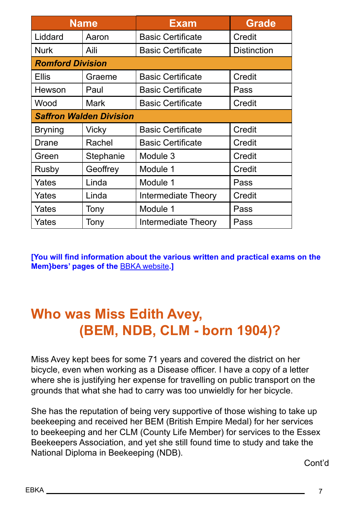|                                | <b>Name</b> | <b>Exam</b>              | <b>Grade</b>       |  |  |  |
|--------------------------------|-------------|--------------------------|--------------------|--|--|--|
| Liddard                        | Aaron       | <b>Basic Certificate</b> | Credit             |  |  |  |
| <b>Nurk</b>                    | Aili        | <b>Basic Certificate</b> | <b>Distinction</b> |  |  |  |
| <b>Romford Division</b>        |             |                          |                    |  |  |  |
| <b>Ellis</b>                   | Graeme      | <b>Basic Certificate</b> | Credit             |  |  |  |
| Hewson                         | Paul        | <b>Basic Certificate</b> | Pass               |  |  |  |
| Wood                           | Mark        | <b>Basic Certificate</b> | Credit             |  |  |  |
| <b>Saffron Walden Division</b> |             |                          |                    |  |  |  |
| <b>Bryning</b>                 | Vicky       | <b>Basic Certificate</b> | Credit             |  |  |  |
| Drane                          | Rachel      | <b>Basic Certificate</b> | Credit             |  |  |  |
| Green                          | Stephanie   | Module 3                 | Credit             |  |  |  |
| Rusby                          | Geoffrey    | Module 1                 | Credit             |  |  |  |
| Yates                          | Linda       | Module 1                 | Pass               |  |  |  |
| Yates                          | Linda       | Intermediate Theory      | Credit             |  |  |  |
| Yates                          | Tony        | Module 1                 | Pass               |  |  |  |
| Yates                          | Tony        | Intermediate Theory      | Pass               |  |  |  |

**[You will find information about the various written and practical exams on the Mem}bers' pages of the** [BBKA website](http://bbka.org.uk)**.]**

# **Who was Miss Edith Avey, (BEM, NDB, CLM - born 1904)?**

Miss Avey kept bees for some 71 years and covered the district on her bicycle, even when working as a Disease officer. I have a copy of a letter where she is justifying her expense for travelling on public transport on the grounds that what she had to carry was too unwieldly for her bicycle.

She has the reputation of being very supportive of those wishing to take up beekeeping and received her BEM (British Empire Medal) for her services to beekeeping and her CLM (County Life Member) for services to the Essex Beekeepers Association, and yet she still found time to study and take the National Diploma in Beekeeping (NDB).

Cont'd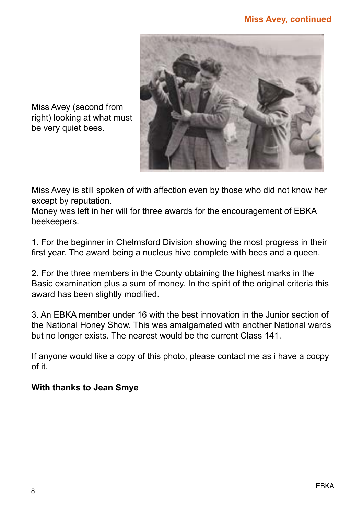#### **Miss Avey, continued**



Miss Avey (second from right) looking at what must be very quiet bees.

Miss Avey is still spoken of with affection even by those who did not know her except by reputation.

Money was left in her will for three awards for the encouragement of EBKA beekeepers.

1. For the beginner in Chelmsford Division showing the most progress in their first year. The award being a nucleus hive complete with bees and a queen.

2. For the three members in the County obtaining the highest marks in the Basic examination plus a sum of money. In the spirit of the original criteria this award has been slightly modified.

3. An EBKA member under 16 with the best innovation in the Junior section of the National Honey Show. This was amalgamated with another National wards but no longer exists. The nearest would be the current Class 141.

If anyone would like a copy of this photo, please contact me as i have a cocpy of it.

#### **With thanks to Jean Smye**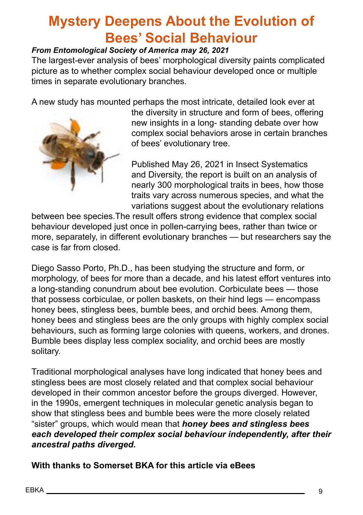# **Mystery Deepens About the Evolution of Bees' Social Behaviour**

#### *From Entomological Society of America may 26, 2021*

The largest-ever analysis of bees' morphological diversity paints complicated picture as to whether complex social behaviour developed once or multiple times in separate evolutionary branches.

A new study has mounted perhaps the most intricate, detailed look ever at



the diversity in structure and form of bees, offering new insights in a long- standing debate over how complex social behaviors arose in certain branches of bees' evolutionary tree.

Published May 26, 2021 in Insect Systematics and Diversity, the report is built on an analysis of nearly 300 morphological traits in bees, how those traits vary across numerous species, and what the variations suggest about the evolutionary relations

between bee species.The result offers strong evidence that complex social behaviour developed just once in pollen-carrying bees, rather than twice or more, separately, in different evolutionary branches — but researchers say the case is far from closed.

Diego Sasso Porto, Ph.D., has been studying the structure and form, or morphology, of bees for more than a decade, and his latest effort ventures into a long-standing conundrum about bee evolution. Corbiculate bees — those that possess corbiculae, or pollen baskets, on their hind legs — encompass honey bees, stingless bees, bumble bees, and orchid bees. Among them, honey bees and stingless bees are the only groups with highly complex social behaviours, such as forming large colonies with queens, workers, and drones. Bumble bees display less complex sociality, and orchid bees are mostly solitary.

Traditional morphological analyses have long indicated that honey bees and stingless bees are most closely related and that complex social behaviour developed in their common ancestor before the groups diverged. However, in the 1990s, emergent techniques in molecular genetic analysis began to show that stingless bees and bumble bees were the more closely related "sister" groups, which would mean that *honey bees and stingless bees each developed their complex social behaviour independently, after their ancestral paths diverged.*

**With thanks to Somerset BKA for this article via eBees**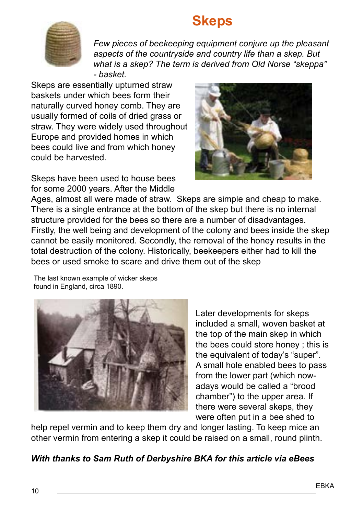## **Skeps**



*Few pieces of beekeeping equipment conjure up the pleasant aspects of the countryside and country life than a skep. But what is a skep? The term is derived from Old Norse "skeppa" - basket.*

Skeps are essentially upturned straw baskets under which bees form their naturally curved honey comb. They are usually formed of coils of dried grass or straw. They were widely used throughout Europe and provided homes in which bees could live and from which honey could be harvested.

Skeps have been used to house bees for some 2000 years. After the Middle



Ages, almost all were made of straw. Skeps are simple and cheap to make. There is a single entrance at the bottom of the skep but there is no internal structure provided for the bees so there are a number of disadvantages. Firstly, the well being and development of the colony and bees inside the skep cannot be easily monitored. Secondly, the removal of the honey results in the total destruction of the colony. Historically, beekeepers either had to kill the bees or used smoke to scare and drive them out of the skep

The last known example of wicker skeps found in England, circa 1890.



Later developments for skeps included a small, woven basket at the top of the main skep in which the bees could store honey ; this is the equivalent of today's "super". A small hole enabled bees to pass from the lower part (which nowadays would be called a "brood chamber") to the upper area. If there were several skeps, they were often put in a bee shed to

help repel vermin and to keep them dry and longer lasting. To keep mice an other vermin from entering a skep it could be raised on a small, round plinth.

#### *With thanks to Sam Ruth of Derbyshire BKA for this article via eBees*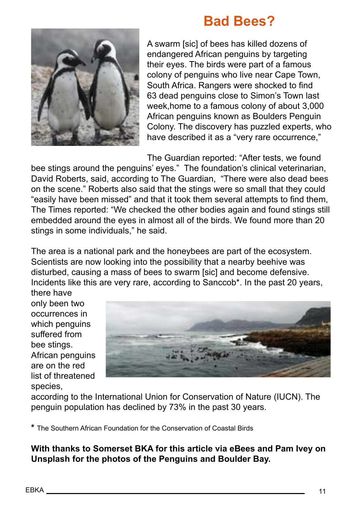## **Bad Bees?**



A swarm [sic] of bees has killed dozens of endangered African penguins by targeting their eyes. The birds were part of a famous colony of penguins who live near Cape Town, South Africa. Rangers were shocked to find 63 dead penguins close to Simon's Town last week,home to a famous colony of about 3,000 African penguins known as Boulders Penguin Colony. The discovery has puzzled experts, who have described it as a "very rare occurrence,"

The Guardian reported: "After tests, we found

bee stings around the penguins' eyes." The foundation's clinical veterinarian, David Roberts, said, according to The Guardian, "There were also dead bees on the scene." Roberts also said that the stings were so small that they could "easily have been missed" and that it took them several attempts to find them, The Times reported: "We checked the other bodies again and found stings still embedded around the eyes in almost all of the birds. We found more than 20 stings in some individuals," he said.

The area is a national park and the honeybees are part of the ecosystem. Scientists are now looking into the possibility that a nearby beehive was disturbed, causing a mass of bees to swarm [sic] and become defensive. Incidents like this are very rare, according to Sanccob\*. In the past 20 years, there have

only been two occurrences in which penguins suffered from bee stings. African penguins are on the red list of threatened species,



according to the International Union for Conservation of Nature (IUCN). The penguin population has declined by 73% in the past 30 years.

**\*** The Southern African Foundation for the Conservation of Coastal Birds

**With thanks to Somerset BKA for this article via eBees and Pam Ivey on Unsplash for the photos of the Penguins and Boulder Bay.**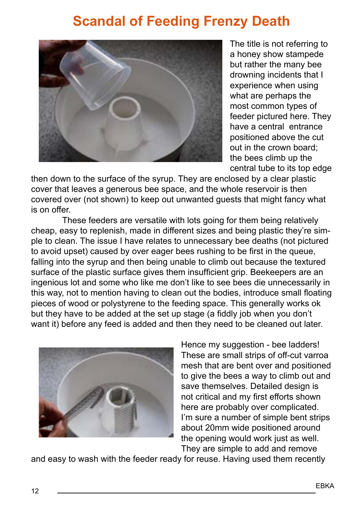# **Scandal of Feeding Frenzy Death**



The title is not referring to a honey show stampede but rather the many bee drowning incidents that I experience when using what are perhaps the most common types of feeder pictured here. They have a central entrance positioned above the cut out in the crown board; the bees climb up the central tube to its top edge

then down to the surface of the syrup. They are enclosed by a clear plastic cover that leaves a generous bee space, and the whole reservoir is then covered over (not shown) to keep out unwanted guests that might fancy what is on offer.

These feeders are versatile with lots going for them being relatively cheap, easy to replenish, made in different sizes and being plastic they're simple to clean. The issue I have relates to unnecessary bee deaths (not pictured to avoid upset) caused by over eager bees rushing to be first in the queue, falling into the syrup and then being unable to climb out because the textured surface of the plastic surface gives them insufficient grip. Beekeepers are an ingenious lot and some who like me don't like to see bees die unnecessarily in this way, not to mention having to clean out the bodies, introduce small floating pieces of wood or polystyrene to the feeding space. This generally works ok but they have to be added at the set up stage (a fiddly job when you don't want it) before any feed is added and then they need to be cleaned out later.



Hence my suggestion - bee ladders! These are small strips of off-cut varroa mesh that are bent over and positioned to give the bees a way to climb out and save themselves. Detailed design is not critical and my first efforts shown here are probably over complicated. I'm sure a number of simple bent strips about 20mm wide positioned around the opening would work just as well. They are simple to add and remove

and easy to wash with the feeder ready for reuse. Having used them recently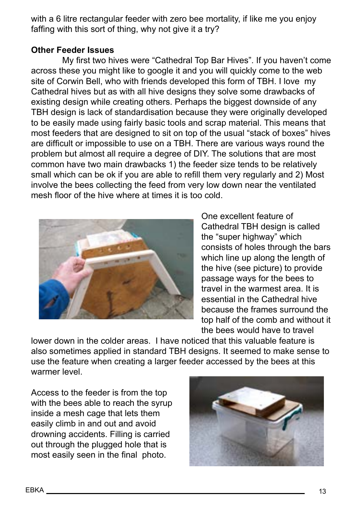with a 6 litre rectangular feeder with zero bee mortality, if like me you enjoy faffing with this sort of thing, why not give it a try?

#### **Other Feeder Issues**

My first two hives were "Cathedral Top Bar Hives". If you haven't come across these you might like to google it and you will quickly come to the web site of Corwin Bell, who with friends developed this form of TBH. I love my Cathedral hives but as with all hive designs they solve some drawbacks of existing design while creating others. Perhaps the biggest downside of any TBH design is lack of standardisation because they were originally developed to be easily made using fairly basic tools and scrap material. This means that most feeders that are designed to sit on top of the usual "stack of boxes" hives are difficult or impossible to use on a TBH. There are various ways round the problem but almost all require a degree of DIY. The solutions that are most common have two main drawbacks 1) the feeder size tends to be relatively small which can be ok if you are able to refill them very regularly and 2) Most involve the bees collecting the feed from very low down near the ventilated mesh floor of the hive where at times it is too cold.



One excellent feature of Cathedral TBH design is called the "super highway" which consists of holes through the bars which line up along the length of the hive (see picture) to provide passage ways for the bees to travel in the warmest area. It is essential in the Cathedral hive because the frames surround the top half of the comb and without it the bees would have to travel

lower down in the colder areas. I have noticed that this valuable feature is also sometimes applied in standard TBH designs. It seemed to make sense to use the feature when creating a larger feeder accessed by the bees at this warmer level.

Access to the feeder is from the top with the bees able to reach the syrup inside a mesh cage that lets them easily climb in and out and avoid drowning accidents. Filling is carried out through the plugged hole that is most easily seen in the final photo.

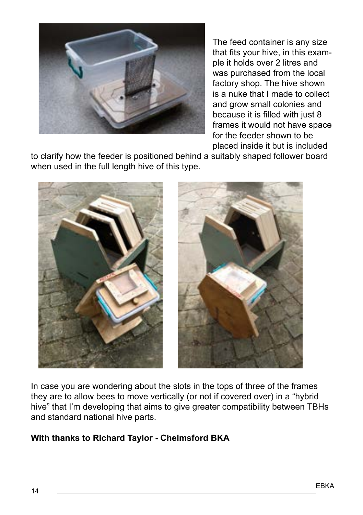

The feed container is any size that fits your hive, in this example it holds over 2 litres and was purchased from the local factory shop. The hive shown is a nuke that I made to collect and grow small colonies and because it is filled with just 8 frames it would not have space for the feeder shown to be placed inside it but is included

to clarify how the feeder is positioned behind a suitably shaped follower board when used in the full length hive of this type.



In case you are wondering about the slots in the tops of three of the frames they are to allow bees to move vertically (or not if covered over) in a "hybrid hive" that I'm developing that aims to give greater compatibility between TBHs and standard national hive parts.

#### **With thanks to Richard Taylor - Chelmsford BKA**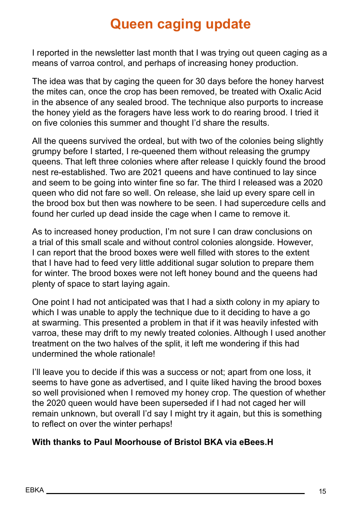## **Queen caging update**

I reported in the newsletter last month that I was trying out queen caging as a means of varroa control, and perhaps of increasing honey production.

The idea was that by caging the queen for 30 days before the honey harvest the mites can, once the crop has been removed, be treated with Oxalic Acid in the absence of any sealed brood. The technique also purports to increase the honey yield as the foragers have less work to do rearing brood. I tried it on five colonies this summer and thought I'd share the results.

All the queens survived the ordeal, but with two of the colonies being slightly grumpy before I started, I re-queened them without releasing the grumpy queens. That left three colonies where after release I quickly found the brood nest re-established. Two are 2021 queens and have continued to lay since and seem to be going into winter fine so far. The third I released was a 2020 queen who did not fare so well. On release, she laid up every spare cell in the brood box but then was nowhere to be seen. I had supercedure cells and found her curled up dead inside the cage when I came to remove it.

As to increased honey production, I'm not sure I can draw conclusions on a trial of this small scale and without control colonies alongside. However, I can report that the brood boxes were well filled with stores to the extent that I have had to feed very little additional sugar solution to prepare them for winter. The brood boxes were not left honey bound and the queens had plenty of space to start laying again.

One point I had not anticipated was that I had a sixth colony in my apiary to which I was unable to apply the technique due to it deciding to have a go at swarming. This presented a problem in that if it was heavily infested with varroa, these may drift to my newly treated colonies. Although I used another treatment on the two halves of the split, it left me wondering if this had undermined the whole rationale!

I'll leave you to decide if this was a success or not; apart from one loss, it seems to have gone as advertised, and I quite liked having the brood boxes so well provisioned when I removed my honey crop. The question of whether the 2020 queen would have been superseded if I had not caged her will remain unknown, but overall I'd say I might try it again, but this is something to reflect on over the winter perhaps!

#### **With thanks to Paul Moorhouse of Bristol BKA via eBees.H**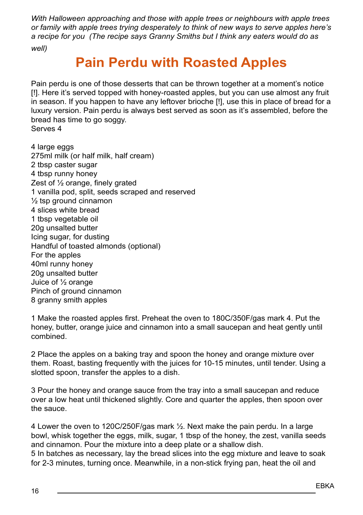*With Halloween approaching and those with apple trees or neighbours with apple trees or family with apple trees trying desperately to think of new ways to serve apples here's a recipe for you (The recipe says Granny Smiths but I think any eaters would do as well)* 

## **Pain Perdu with Roasted Apples**

Pain perdu is one of those desserts that can be thrown together at a moment's notice [!]. Here it's served topped with honey-roasted apples, but you can use almost any fruit in season. If you happen to have any leftover brioche [!], use this in place of bread for a luxury version. Pain perdu is always best served as soon as it's assembled, before the bread has time to go soggy. Serves 4

4 large eggs 275ml milk (or half milk, half cream) 2 tbsp caster sugar 4 tbsp runny honey Zest of ½ orange, finely grated 1 vanilla pod, split, seeds scraped and reserved  $\frac{1}{2}$  tsp ground cinnamon 4 slices white bread 1 tbsp vegetable oil 20g unsalted butter Icing sugar, for dusting Handful of toasted almonds (optional) For the apples 40ml runny honey 20g unsalted butter Juice of ½ orange Pinch of ground cinnamon 8 granny smith apples

1 Make the roasted apples first. Preheat the oven to 180C/350F/gas mark 4. Put the honey, butter, orange juice and cinnamon into a small saucepan and heat gently until combined.

2 Place the apples on a baking tray and spoon the honey and orange mixture over them. Roast, basting frequently with the juices for 10-15 minutes, until tender. Using a slotted spoon, transfer the apples to a dish.

3 Pour the honey and orange sauce from the tray into a small saucepan and reduce over a low heat until thickened slightly. Core and quarter the apples, then spoon over the sauce.

4 Lower the oven to 120C/250F/gas mark ½. Next make the pain perdu. In a large bowl, whisk together the eggs, milk, sugar, 1 tbsp of the honey, the zest, vanilla seeds and cinnamon. Pour the mixture into a deep plate or a shallow dish.

5 In batches as necessary, lay the bread slices into the egg mixture and leave to soak for 2-3 minutes, turning once. Meanwhile, in a non-stick frying pan, heat the oil and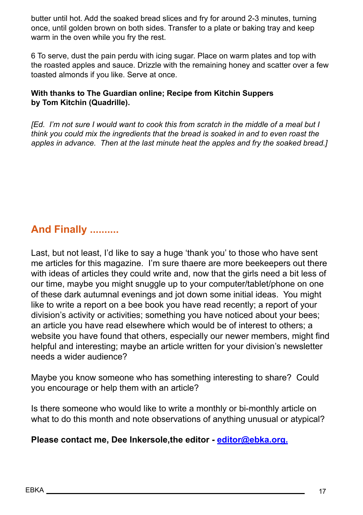butter until hot. Add the soaked bread slices and fry for around 2-3 minutes, turning once, until golden brown on both sides. Transfer to a plate or baking tray and keep warm in the oven while you fry the rest.

6 To serve, dust the pain perdu with icing sugar. Place on warm plates and top with the roasted apples and sauce. Drizzle with the remaining honey and scatter over a few toasted almonds if you like. Serve at once.

#### **With thanks to The Guardian online; Recipe from Kitchin Suppers by Tom Kitchin (Quadrille).**

*[Ed. I'm not sure I would want to cook this from scratch in the middle of a meal but I think you could mix the ingredients that the bread is soaked in and to even roast the apples in advance. Then at the last minute heat the apples and fry the soaked bread.]* 

## **And Finally ..........**

Last, but not least, I'd like to say a huge 'thank you' to those who have sent me articles for this magazine. I'm sure thaere are more beekeepers out there with ideas of articles they could write and, now that the girls need a bit less of our time, maybe you might snuggle up to your computer/tablet/phone on one of these dark autumnal evenings and jot down some initial ideas. You might like to write a report on a bee book you have read recently; a report of your division's activity or activities; something you have noticed about your bees; an article you have read elsewhere which would be of interest to others; a website you have found that others, especially our newer members, might find helpful and interesting; maybe an article written for your division's newsletter needs a wider audience?

Maybe you know someone who has something interesting to share? Could you encourage or help them with an article?

Is there someone who would like to write a monthly or bi-monthly article on what to do this month and note observations of anything unusual or atypical?

#### **Please contact me, Dee Inkersole,the editor - [editor@ebka.org.](mailto:editor%40ebka.org%20?subject=EBKA%20Magazine)**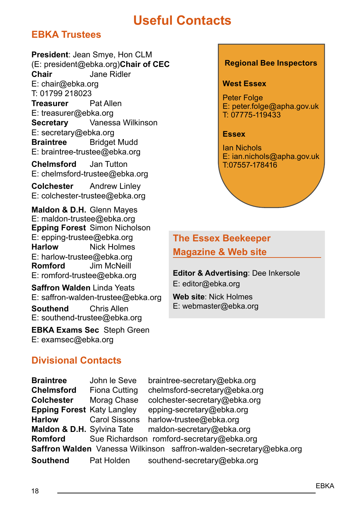## **Useful Contacts**

### **EBKA Trustees**

**President**: Jean Smye, Hon CLM (E: president@ebka.org)**Chair of CEC Chair** Jane Ridler E: chair@ebka.org T: 01799 218023 **Treasurer** Pat Allen E: treasurer@ebka.org **Secretary** Vanessa Wilkinson E: secretary@ebka.org **Braintree** Bridget Mudd E: braintree-trustee@ebka.org **Chelmsford** Jan Tutton E: chelmsford-trustee@ebka.org

**Colchester** Andrew Linley E: colchester-trustee@ebka.org

**Maldon & D.H.** Glenn Mayes E: maldon-trustee@ebka.org **Epping Forest** Simon Nicholson E: epping-trustee@ebka.org **Harlow** Nick Holmes E: harlow-trustee@ebka.org<br>Romford .lim McNeill **Jim McNeill** E: romford-trustee@ebka.org

**Saffron Walden** Linda Yeats E: saffron-walden-trustee@ebka.org **Southend** Chris Allen E: southend-trustee@ebka.org

**EBKA Exams Sec** Steph Green E: examsec@ebka.org

#### **Regional Bee Inspectors**

#### **West Essex**

**Peter Folge** E: peter.folge@apha.gov.uk T: 07775-119433

#### **Essex**

Ian Nichols E: ian.nichols@apha.gov.uk T:07557-178416

### **The Essex Beekeeper Magazine & Web site**

**Editor & Advertising**: Dee Inkersole E: editor@ebka.org

**Web site**: Nick Holmes E: webmaster@ebka.org

#### **Divisional Contacts**

**Braintree** John le Seve braintree-secretary@ebka.org **Chelmsford** Fiona Cutting chelmsford-secretary@ebka.org **Colchester** Morag Chase colchester-secretary@ebka.org **Epping Forest** Katy Langley epping-secretary@ebka.org **Harlow Carol Sissons harlow-trustee@ebka.org<br><b>Maldon & D.H.** Sylvina Tate maldon-secretary@ebka. maldon-secretary@ebka.org **Romford** Sue Richardson romford-secretary@ebka.org **Saffron Walden** Vanessa Wilkinson saffron-walden-secretary@ebka.org **Southend** Pat Holden southend-secretary@ebka.org